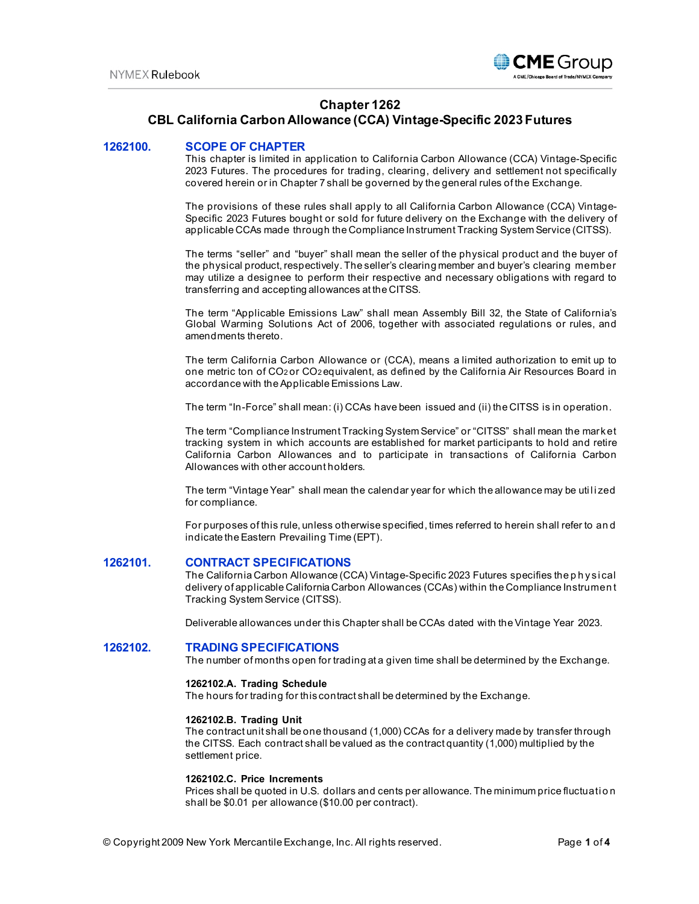

# **Chapter 1262**

# **CBL California Carbon Allowance (CCA) Vintage-Specific 2023 Futures**

### **1262100. SCOPE OF CHAPTER**

This chapter is limited in application to California Carbon Allowance (CCA) Vintage-Specific 2023 Futures. The procedures for trading, clearing, delivery and settlement not specifically covered herein or in Chapter 7 shall be governed by the general rules of the Exchange.

The provisions of these rules shall apply to all California Carbon Allowance (CCA) Vintage-Specific 2023 Futures bought or sold for future delivery on the Exchange with the delivery of applicable CCAs made through the Compliance Instrument Tracking System Service (CITSS).

The terms "seller" and "buyer" shall mean the seller of the physical product and the buyer of the physical product, respectively. The seller's clearing member and buyer's clearing member may utilize a designee to perform their respective and necessary obligations with regard to transferring and accepting allowances at the CITSS.

The term "Applicable Emissions Law" shall mean Assembly Bill 32, the State of California's Global Warming Solutions Act of 2006, together with associated regulations or rules, and amendments thereto.

The term California Carbon Allowance or (CCA), means a limited authorization to emit up to one metric ton of CO2 or CO2 equivalent, as defined by the California Air Resources Board in accordance with the Applicable Emissions Law.

The term "In-Force" shall mean: (i) CCAs have been issued and (ii) the CITSS is in operation.

The term "Compliance Instrument Tracking System Service" or "CITSS" shall mean the market tracking system in which accounts are established for market participants to hold and retire California Carbon Allowances and to participate in transactions of California Carbon Allowances with other account holders.

The term "Vintage Year" shall mean the calendar year for which the allowance may be utilized for compliance.

For purposes of this rule, unless otherwise specified, times referred to herein shall refer to an d indicate the Eastern Prevailing Time (EPT).

### **1262101. CONTRACT SPECIFICATIONS**

The California Carbon Allowance (CCA) Vintage-Specific 2023 Futures specifies the p h ysi cal delivery of applicable California Carbon Allowances (CCAs) within the Compliance Instrumen t Tracking System Service (CITSS).

Deliverable allowances under this Chapter shall be CCAs dated with the Vintage Year 2023.

#### **1262102. TRADING SPECIFICATIONS**

The number of months open for trading at a given time shall be determined by the Exchange.

#### **1262102.A. Trading Schedule**

The hours for trading for this contract shall be determined by the Exchange.

#### **1262102.B. Trading Unit**

The contract unit shall be one thousand (1,000) CCAs for a delivery made by transfer through the CITSS. Each contract shall be valued as the contract quantity (1,000) multiplied by the settlement price.

### **1262102.C. Price Increments**

Prices shall be quoted in U.S. dollars and cents per allowance. The minimum price fluctuation shall be \$0.01 per allowance (\$10.00 per contract).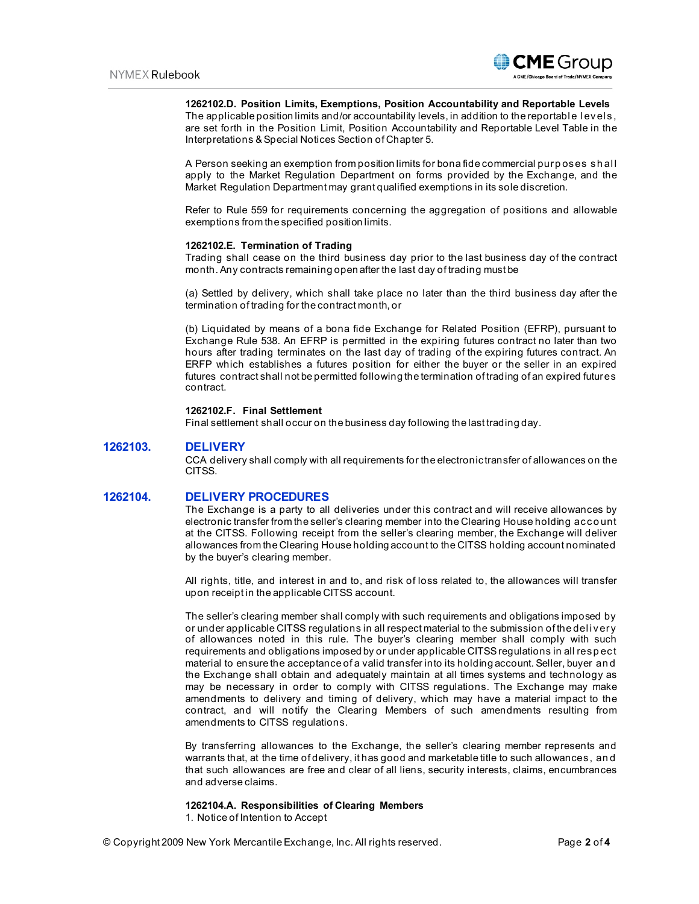

#### **1262102.D. Position Limits, Exemptions, Position Accountability and Reportable Levels**

The applicable position limits and/or accountability levels, in addition to the reportable levels, are set forth in the Position Limit, Position Accountability and Reportable Level Table in the Interpretations & Special Notices Section of Chapter 5.

A Person seeking an exemption from position limits for bona fide commercial purp oses sh al l apply to the Market Regulation Department on forms provided by the Exchange, and the Market Regulation Department may grant qualified exemptions in its sole discretion.

Refer to Rule 559 for requirements concerning the aggregation of positions and allowable exemptions from the specified position limits.

#### **1262102.E. Termination of Trading**

Trading shall cease on the third business day prior to the last business day of the contract month. Any contracts remaining open after the last day of trading must be

(a) Settled by delivery, which shall take place no later than the third business day after the termination of trading for the contract month, or

(b) Liquidated by means of a bona fide Exchange for Related Position (EFRP), pursuant to Exchange Rule 538. An EFRP is permitted in the expiring futures contract no later than two hours after trading terminates on the last day of trading of the expiring futures contract. An ERFP which establishes a futures position for either the buyer or the seller in an expired futures contract shall not be permitted following the termination of trading of an expired futures contract.

### **1262102.F. Final Settlement**

Final settlement shall occur on the business day following the last trading day.

### **1262103. DELIVERY**

CCA delivery shall comply with all requirements for the electronic transfer of allowances on the CITSS.

### **1262104. DELIVERY PROCEDURES**

The Exchange is a party to all deliveries under this contract and will receive allowances by electronic transfer from the seller's clearing member into the Clearing House holding acco unt at the CITSS. Following receipt from the seller's clearing member, the Exchange will deliver allowances from the Clearing House holding account to the CITSS holding account nominated by the buyer's clearing member.

All rights, title, and interest in and to, and risk of loss related to, the allowances will transfer upon receipt in the applicable CITSS account.

The seller's clearing member shall comply with such requirements and obligations imposed by or under applicable CITSS regulations in all respect material to the submission of the del i very of allowances noted in this rule. The buyer's clearing member shall comply with such requirements and obligations imposed by or under applicable CITSS regulations in all resp ect material to ensure the acceptance of a valid transfer into its holding account. Seller, buyer an d the Exchange shall obtain and adequately maintain at all times systems and technology as may be necessary in order to comply with CITSS regulations. The Exchange may make amendments to delivery and timing of delivery, which may have a material impact to the contract, and will notify the Clearing Members of such amendments resulting from amendments to CITSS regulations.

By transferring allowances to the Exchange, the seller's clearing member represents and warrants that, at the time of delivery, it has good and marketable title to such allowances, an d that such allowances are free and clear of all liens, security interests, claims, encumbrances and adverse claims.

#### **1262104.A. Responsibilities of Clearing Members**

1. Notice of Intention to Accept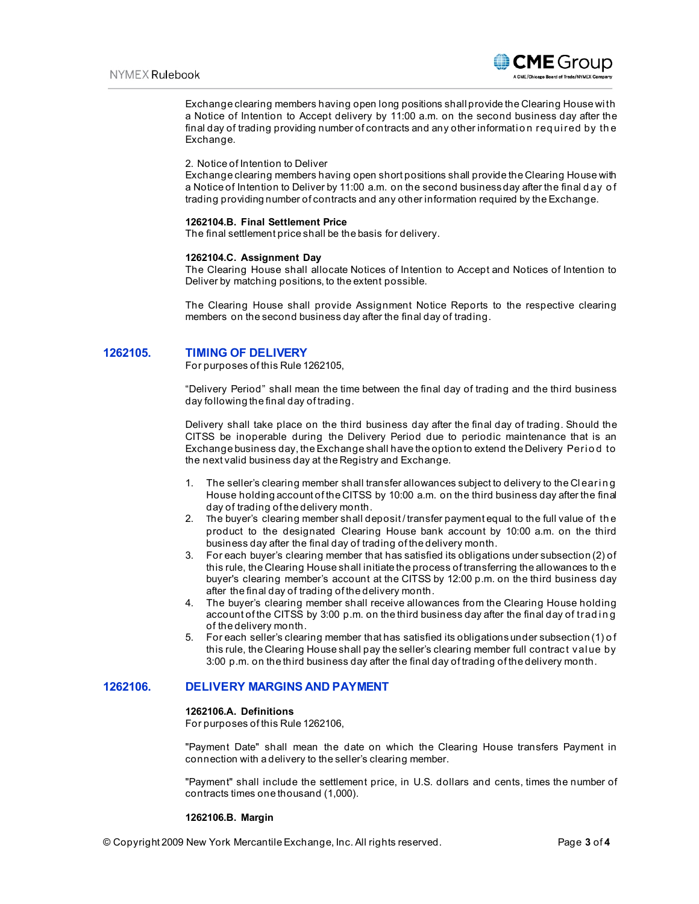

Exchange clearing members having open long positions shall provide the Clearing House wi th a Notice of Intention to Accept delivery by 11:00 a.m. on the second business day after the final day of trading providing number of contracts and any other information required by the Exchange.

#### 2. Notice of Intention to Deliver

Exchange clearing members having open short positions shall provide the Clearing House with a Notice of Intention to Deliver by 11:00 a.m. on the second business day after the final d ay o f trading providing number of contracts and any other information required by the Exchange.

#### **1262104.B. Final Settlement Price**

The final settlement price shall be the basis for delivery.

#### **1262104.C. Assignment Day**

The Clearing House shall allocate Notices of Intention to Accept and Notices of Intention to Deliver by matching positions, to the extent possible.

The Clearing House shall provide Assignment Notice Reports to the respective clearing members on the second business day after the final day of trading.

### **1262105. TIMING OF DELIVERY**

For purposes of this Rule 1262105,

"Delivery Period" shall mean the time between the final day of trading and the third business day following the final day of trading.

Delivery shall take place on the third business day after the final day of trading. Should the CITSS be inoperable during the Delivery Period due to periodic maintenance that is an Exchange business day, the Exchange shall have the option to extend the Delivery Period to the next valid business day at the Registry and Exchange.

- 1. The seller's clearing member shall transfer allowances subject to delivery to the Clearing House holding account of the CITSS by 10:00 a.m. on the third business day after the final day of trading of the delivery month.
- 2. The buyer's clearing member shall deposit / transfer payment equal to the full value of th e product to the designated Clearing House bank account by 10:00 a.m. on the third business day after the final day of trading of the delivery month.
- 3. For each buyer's clearing member that has satisfied its obligations under subsection (2) of this rule, the Clearing House shall initiate the process of transferring the allowances to th e buyer's clearing member's account at the CITSS by 12:00 p.m. on the third business day after the final day of trading of the delivery month.
- 4. The buyer's clearing member shall receive allowances from the Clearing House holding account of the CITSS by 3:00 p.m. on the third business day after the final day of trading of the delivery month.
- 5. For each seller's clearing member that has satisfied its obligations under subsection (1) o f this rule, the Clearing House shall pay the seller's clearing member full contract val ue by 3:00 p.m. on the third business day after the final day of trading of the delivery month.

## **1262106. DELIVERY MARGINS AND PAYMENT**

#### **1262106.A. Definitions**

For purposes of this Rule 1262106,

"Payment Date" shall mean the date on which the Clearing House transfers Payment in connection with a delivery to the seller's clearing member.

"Payment" shall include the settlement price, in U.S. dollars and cents, times the number of contracts times one thousand (1,000).

#### **1262106.B. Margin**